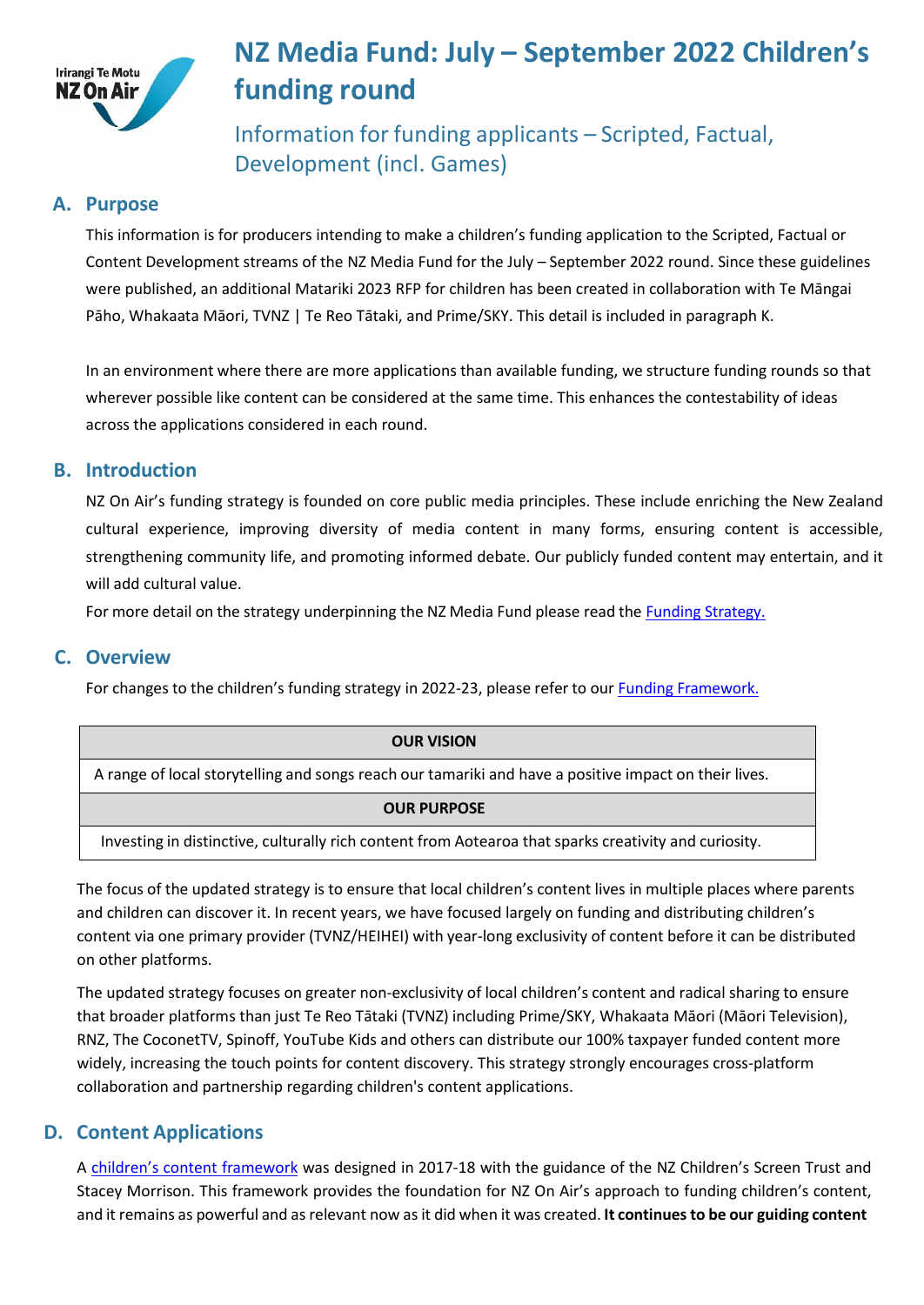

# **NZ Media Fund: July – September 2022 Children's funding round**

Information for funding applicants – Scripted, Factual, Development (incl. Games)

# **A. Purpose**

This information is for producers intending to make a children's funding application to the Scripted, Factual or Content Development streams of the NZ Media Fund for the July – September 2022 round. Since these guidelines were published, an additional Matariki 2023 RFP for children has been created in collaboration with Te Māngai Pāho, Whakaata Māori, TVNZ | Te Reo Tātaki, and Prime/SKY. This detail is included in paragraph K.

In an environment where there are more applications than available funding, we structure funding rounds so that wherever possible like content can be considered at the same time. This enhances the contestability of ideas across the applications considered in each round.

## **B. Introduction**

NZ On Air's funding strategy is founded on core public media principles. These include enriching the New Zealand cultural experience, improving diversity of media content in many forms, ensuring content is accessible, strengthening community life, and promoting informed debate. Our publicly funded content may entertain, and it will add cultural value.

For more detail on the strategy underpinning the NZ Media Fund please read the Funding [Strategy.](https://www.nzonair.govt.nz/documents/34/Funding_Strategy_for_website_updated_12_June_17_FINAL.pdf)

## **C. Overview**

For changes to the children's funding strategy in 2022-23, please refer to our Funding [Framework.](https://www.nzonair.govt.nz/documents/826/220522_Childrens_Funding_Framework_2022-23.pdf)

| <b>OUR VISION</b>                                                                                     |
|-------------------------------------------------------------------------------------------------------|
| A range of local storytelling and songs reach our tamariki and have a positive impact on their lives. |
| <b>OUR PURPOSE</b>                                                                                    |
| Investing in distinctive, culturally rich content from Aotearoa that sparks creativity and curiosity. |

The focus of the updated strategy is to ensure that local children's content lives in multiple places where parents and children can discover it. In recent years, we have focused largely on funding and distributing children's content via one primary provider (TVNZ/HEIHEI) with year-long exclusivity of content before it can be distributed on other platforms.

The updated strategy focuses on greater non-exclusivity of local children's content and radical sharing to ensure that broader platforms than just Te Reo Tātaki (TVNZ) including Prime/SKY, Whakaata Māori (Māori Television), RNZ, The CoconetTV, Spinoff, YouTube Kids and others can distribute our 100% taxpayer funded content more widely, increasing the touch points for content discovery. This strategy strongly encourages cross-platform collaboration and partnership regarding children's content applications.

# **D. Content Applications**

A [children's content framework](https://d3r9t6niqlb7tz.cloudfront.net/media/documents/Childrens_Media_Platform_content_framework_MHOICEU.pdf) was designed in 2017-18 with the guidance of the NZ Children's Screen Trust and Stacey Morrison. This framework provides the foundation for NZ On Air's approach to funding children's content, and it remains as powerful and as relevant now as it did when it was created. **It continuesto be our guiding content**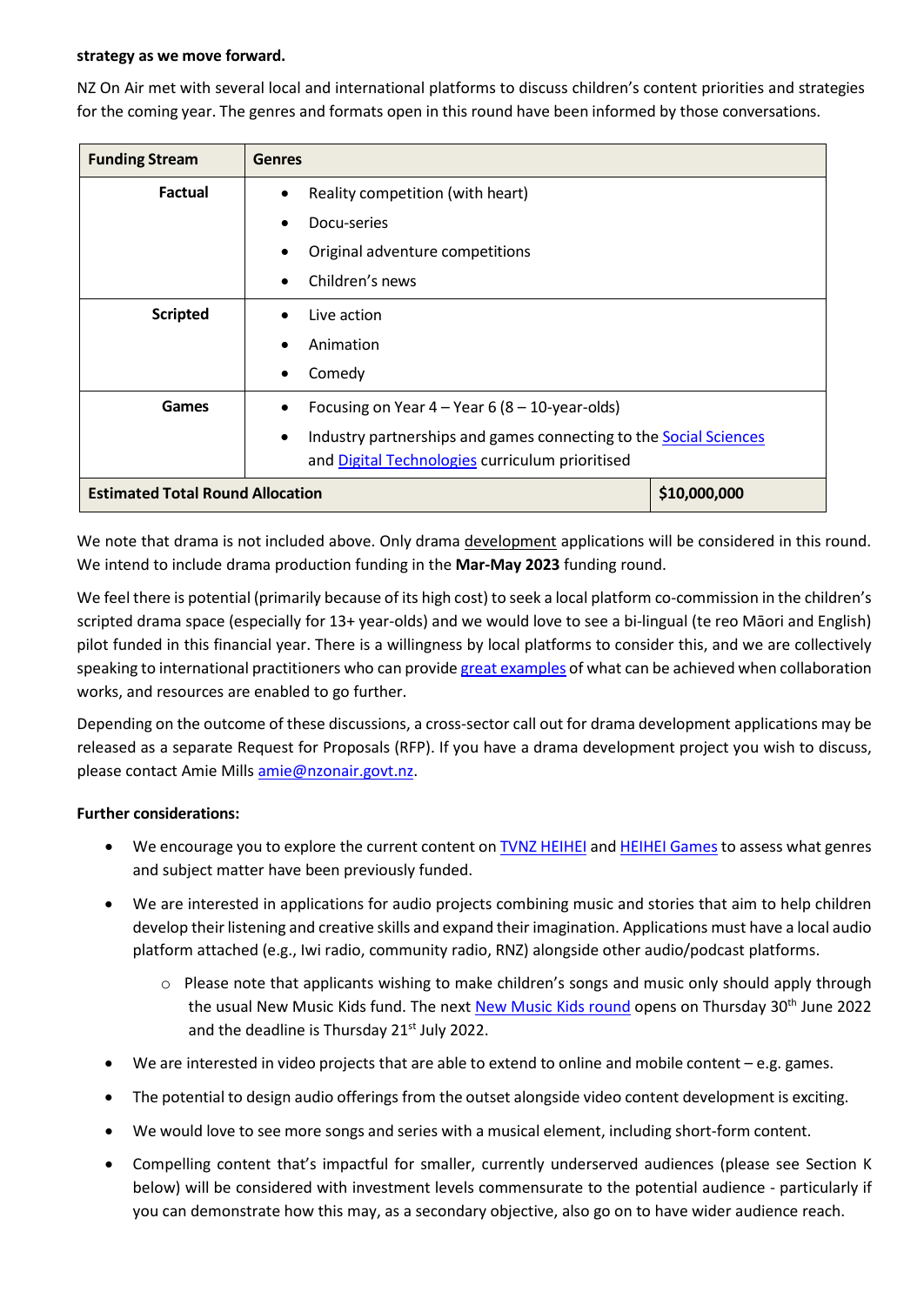#### **strategy as we move forward.**

NZ On Air met with several local and international platforms to discuss children's content priorities and strategies for the coming year. The genres and formats open in this round have been informed by those conversations.

| <b>Funding Stream</b>                   | <b>Genres</b>                                                                         |              |
|-----------------------------------------|---------------------------------------------------------------------------------------|--------------|
| <b>Factual</b>                          | Reality competition (with heart)<br>$\bullet$                                         |              |
|                                         | Docu-series                                                                           |              |
|                                         | Original adventure competitions                                                       |              |
|                                         | Children's news                                                                       |              |
| <b>Scripted</b>                         | Live action                                                                           |              |
|                                         | Animation                                                                             |              |
|                                         | Comedy                                                                                |              |
| Games                                   | Focusing on Year $4 -$ Year 6 (8 - 10-year-olds)                                      |              |
|                                         | Industry partnerships and games connecting to the <b>Social Sciences</b><br>$\bullet$ |              |
|                                         | and Digital Technologies curriculum prioritised                                       |              |
| <b>Estimated Total Round Allocation</b> |                                                                                       | \$10,000,000 |

We note that drama is not included above. Only drama development applications will be considered in this round. We intend to include drama production funding in the **Mar-May 2023** funding round.

We feel there is potential (primarily because of its high cost) to seek a local platform co-commission in the children's scripted drama space (especially for 13+ year-olds) and we would love to see a bi-lingual (te reo Māori and English) pilot funded in this financial year. There is a willingness by local platforms to consider this, and we are collectively speaking to international practitioners who can provide great [examples](https://www.nzonair.govt.nz/documents/824/Examples_of_UK_Co-Commissions_Childrens_Funding_Framework.pdf) of what can be achieved when collaboration works, and resources are enabled to go further.

Depending on the outcome of these discussions, a cross-sector call out for drama development applications may be released as a separate Request for Proposals (RFP). If you have a drama development project you wish to discuss, please contact Amie Mill[s amie@nzonair.govt.nz.](mailto:amie@nzonair.govt.nz)

#### **Further considerations:**

- We encourage you to explore the current content on TVNZ [HEIHEI](https://www.tvnz.co.nz/categories/heihei) and HEIHEI Games to assess what genres and subject matter have been previously funded.
- We are interested in applications for audio projects combining music and stories that aim to help children develop their listening and creative skills and expand their imagination. Applications must have a local audio platform attached (e.g., Iwi radio, community radio, RNZ) alongside other audio/podcast platforms.
	- $\circ$  Please note that applicants wishing to make children's songs and music only should apply through the usual [New Music](https://newmusicsingles.nzonair.govt.nz/) Kids fund. The next New Music Kids round opens on Thursday 30<sup>th</sup> June 2022 and the deadline is Thursday 21<sup>st</sup> July 2022.
- We are interested in video projects that are able to extend to online and mobile content e.g. games.
- The potential to design audio offerings from the outset alongside video content development is exciting.
- We would love to see more songs and series with a musical element, including short-form content.
- Compelling content that's impactful for smaller, currently underserved audiences (please see Section K below) will be considered with investment levels commensurate to the potential audience - particularly if you can demonstrate how this may, as a secondary objective, also go on to have wider audience reach.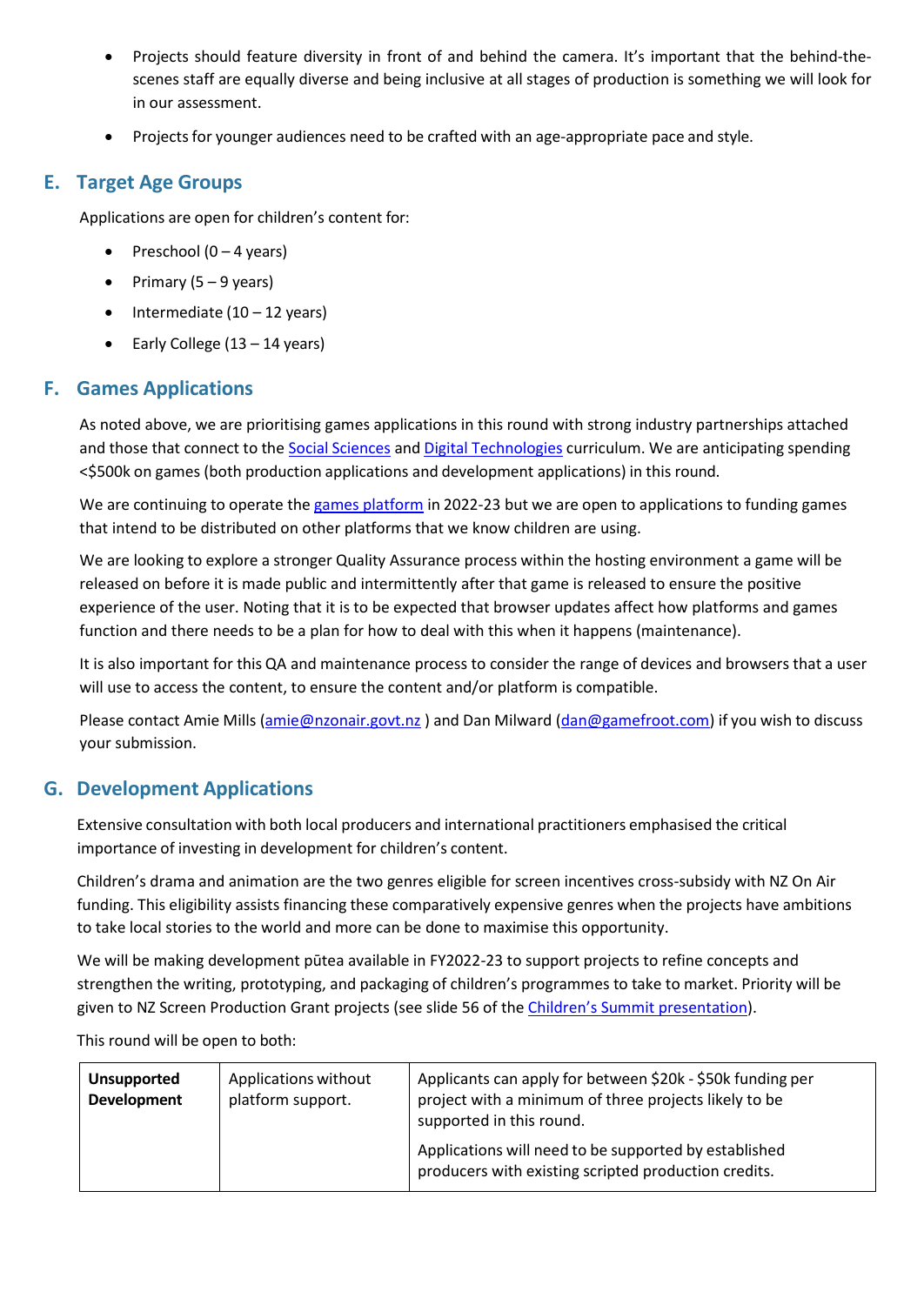- Projects should feature diversity in front of and behind the camera. It's important that the behind-thescenes staff are equally diverse and being inclusive at all stages of production is something we will look for in our assessment.
- Projects for younger audiences need to be crafted with an age-appropriate pace and style.

# **E. Target Age Groups**

Applications are open for children's content for:

- Preschool  $(0 4$  years)
- Primary (5 9 years)
- Intermediate  $(10 12 \text{ years})$
- Early College  $(13 14 \text{ years})$

# **F. Games Applications**

As noted above, we are prioritising games applications in this round with strong industry partnerships attached and those that connect to the Social [Sciences](https://nzcurriculum.tki.org.nz/The-New-Zealand-Curriculum/Social-sciences) and Digital [Technologies](https://www.education.govt.nz/our-work/changes-in-education/digital-technologies-and-hangarau-matihiko-learning/) curriculum. We are anticipating spending <\$500k on games (both production applications and development applications) in this round.

We are continuing to operate the games [platform](https://www.heihei.nz/games) in 2022-23 but we are open to applications to funding games that intend to be distributed on other platforms that we know children are using.

We are looking to explore a stronger Quality Assurance process within the hosting environment a game will be released on before it is made public and intermittently after that game is released to ensure the positive experience of the user. Noting that it is to be expected that browser updates affect how platforms and games function and there needs to be a plan for how to deal with this when it happens (maintenance).

It is also important for this QA and maintenance process to consider the range of devices and browsers that a user will use to access the content, to ensure the content and/or platform is compatible.

Please contact Amie Mills [\(amie@nzonair.govt.nz](mailto:amie@nzonair.govt.nz)) and Dan Milward [\(dan@gamefroot.com\)](mailto:dan@gamefroot.com) if you wish to discuss your submission.

# **G. Development Applications**

Extensive consultation with both local producers and international practitioners emphasised the critical importance of investing in development for children's content.

Children's drama and animation are the two genres eligible for screen incentives cross-subsidy with NZ On Air funding. This eligibility assists financing these comparatively expensive genres when the projects have ambitions to take local stories to the world and more can be done to maximise this opportunity.

We will be making development pūtea available in FY2022-23 to support projects to refine concepts and strengthen the writing, prototyping, and packaging of children's programmes to take to market. Priority will be given to NZ Screen Production Grant projects (see slide 56 of the [Children's Summit presentation\)](https://govt.us7.list-manage.com/track/click?u=defea490d12b73c4ed8504b5b&id=9b803cba23&e=728b5438da).

This round will be open to both:

| <b>Unsupported</b><br><b>Development</b> | Applications without<br>platform support. | Applicants can apply for between \$20k - \$50k funding per<br>project with a minimum of three projects likely to be<br>supported in this round. |
|------------------------------------------|-------------------------------------------|-------------------------------------------------------------------------------------------------------------------------------------------------|
|                                          |                                           | Applications will need to be supported by established<br>producers with existing scripted production credits.                                   |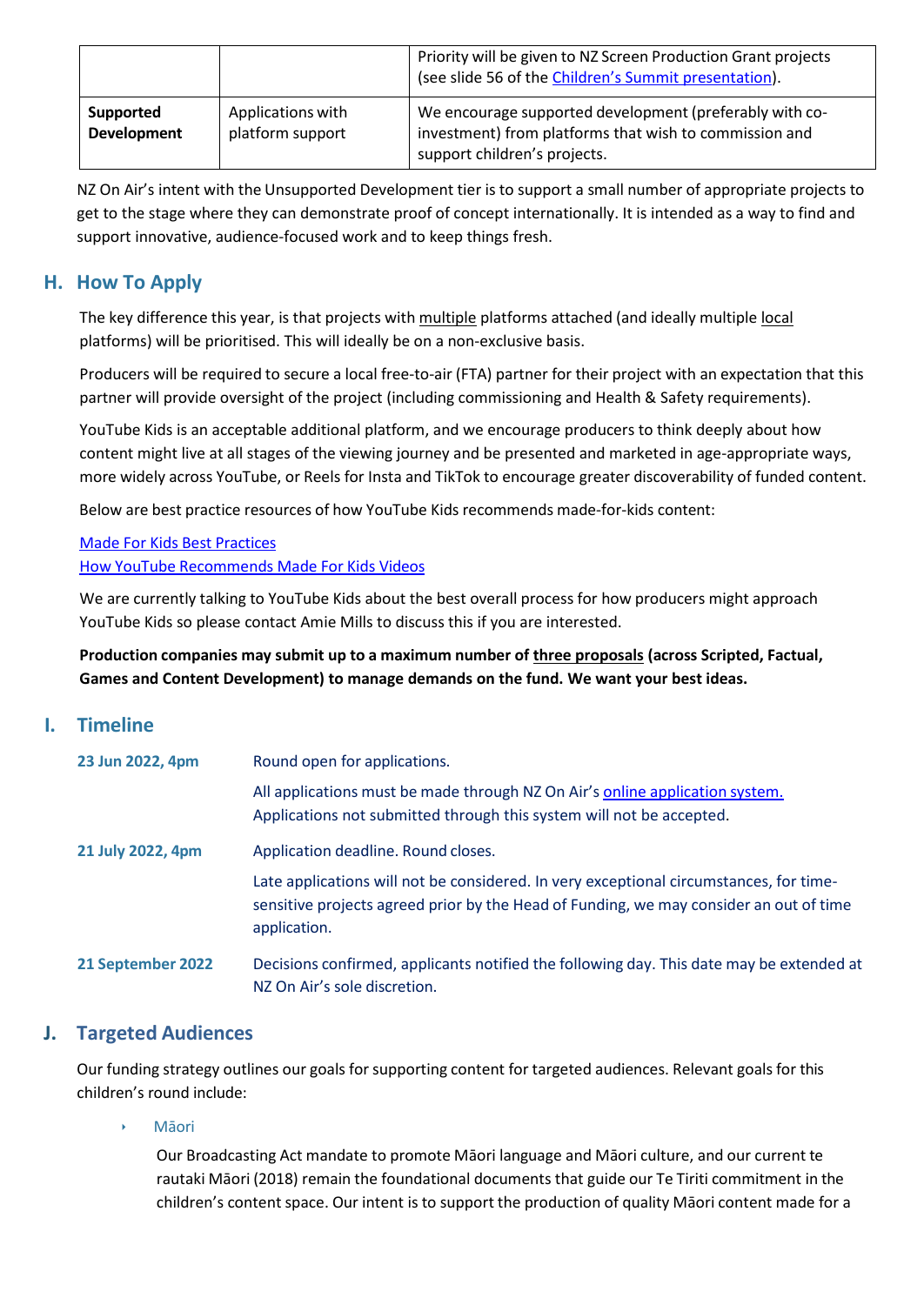|                                 |                                       | Priority will be given to NZ Screen Production Grant projects<br>(see slide 56 of the Children's Summit presentation).                            |
|---------------------------------|---------------------------------------|---------------------------------------------------------------------------------------------------------------------------------------------------|
| Supported<br><b>Development</b> | Applications with<br>platform support | We encourage supported development (preferably with co-<br>investment) from platforms that wish to commission and<br>support children's projects. |

NZ On Air's intent with the Unsupported Development tier is to support a small number of appropriate projects to get to the stage where they can demonstrate proof of concept internationally. It is intended as a way to find and support innovative, audience-focused work and to keep things fresh.

# **H. How To Apply**

The key difference this year, is that projects with multiple platforms attached (and ideally multiple local platforms) will be prioritised. This will ideally be on a non-exclusive basis.

Producers will be required to secure a local free-to-air (FTA) partner for their project with an expectation that this partner will provide oversight of the project (including commissioning and Health & Safety requirements).

YouTube Kids is an acceptable additional platform, and we encourage producers to think deeply about how content might live at all stages of the viewing journey and be presented and marketed in age-appropriate ways, more widely across YouTube, or Reels for Insta and TikTok to encourage greater discoverability of funded content.

Below are best practice resources of how YouTube Kids recommends made-for-kids content:

Made For Kids Best [Practices](https://www.nzonair.govt.nz/documents/822/YouTube_-_made-for-kids-best-practices_en.pdf) How YouTube [Recommends](https://www.nzonair.govt.nz/documents/823/How_YouTube_Recommends_MFK_Videos.pdf) Made For Kids Videos

We are currently talking to YouTube Kids about the best overall process for how producers might approach YouTube Kids so please contact Amie Mills to discuss this if you are interested.

**Production companies may submit up to a maximum number of three proposals (across Scripted, Factual, Games and Content Development) to manage demands on the fund. We want your best ideas.**

## **I. Timeline**

| 23 Jun 2022, 4pm  | Round open for applications.                                                                                                                                                                     |
|-------------------|--------------------------------------------------------------------------------------------------------------------------------------------------------------------------------------------------|
|                   | All applications must be made through NZ On Air's online application system.<br>Applications not submitted through this system will not be accepted.                                             |
| 21 July 2022, 4pm | Application deadline. Round closes.                                                                                                                                                              |
|                   | Late applications will not be considered. In very exceptional circumstances, for time-<br>sensitive projects agreed prior by the Head of Funding, we may consider an out of time<br>application. |
| 21 September 2022 | Decisions confirmed, applicants notified the following day. This date may be extended at<br>NZ On Air's sole discretion.                                                                         |

## **J. Targeted Audiences**

Our funding strategy outlines our goals forsupporting content for targeted audiences. Relevant goals for this children's round include:

#### **M**āori

Our Broadcasting Act mandate to promote Māori language and Māori culture, and our current te rautaki Māori (2018) remain the foundational documents that guide our Te Tiriti commitment in the children's content space. Our intent is to support the production of quality Māori content made for a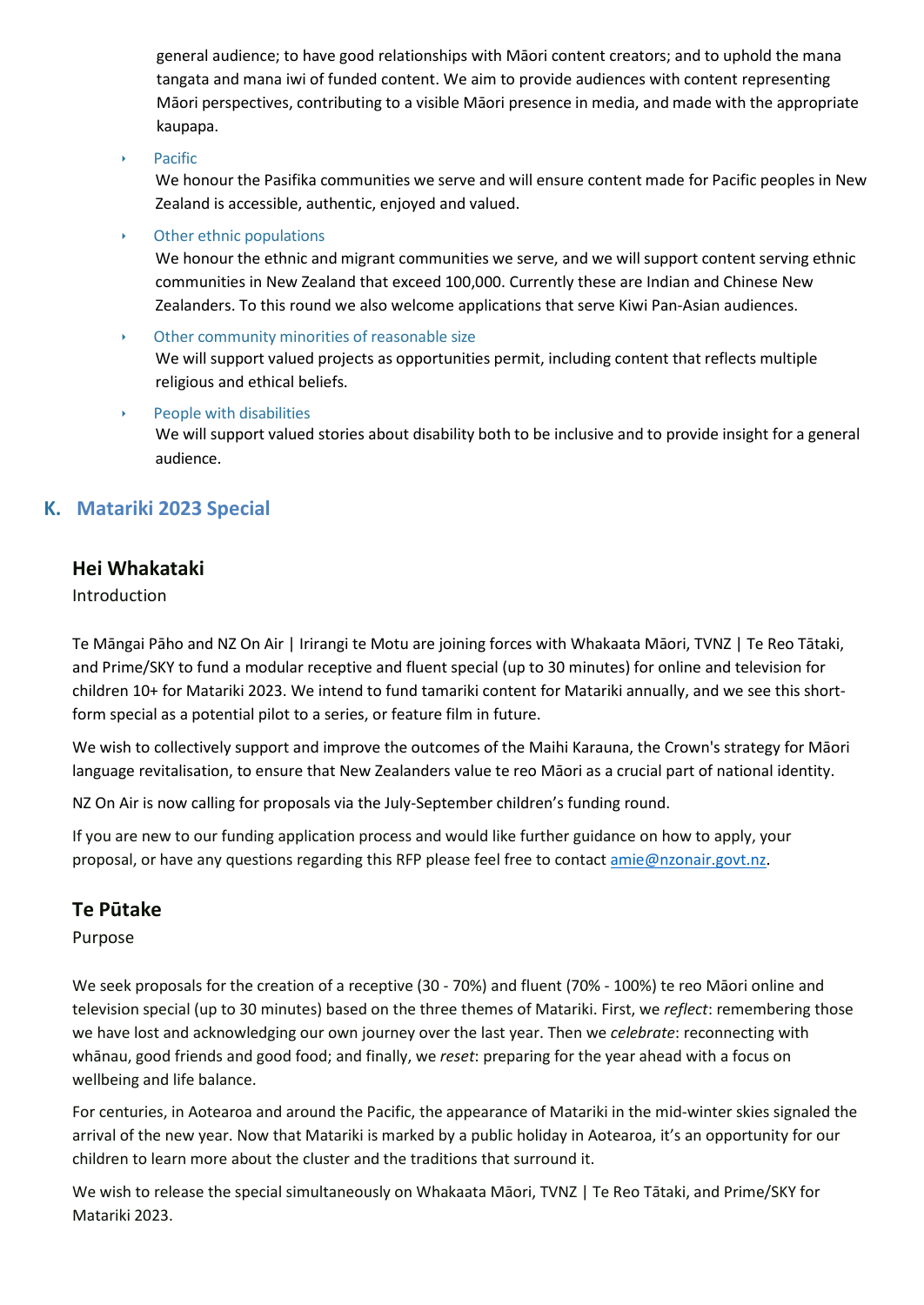general audience; to have good relationships with Māori content creators; and to uphold the mana tangata and mana iwi of funded content. We aim to provide audiences with content representing Māori perspectives, contributing to a visible Māori presence in media, and made with the appropriate kaupapa.

‣ Pacific

We honour the Pasifika communities we serve and will ensure content made for Pacific peoples in New Zealand is accessible, authentic, enjoyed and valued.

### $\rightarrow$  Other ethnic populations

We honour the ethnic and migrant communities we serve, and we will support content serving ethnic communities in New Zealand that exceed 100,000. Currently these are Indian and Chinese New Zealanders. To this round we also welcome applications that serve Kiwi Pan-Asian audiences.

- Other community minorities of reasonable size We will support valued projects as opportunities permit, including content that reflects multiple religious and ethical beliefs.
- People with disabilities We will support valued stories about disability both to be inclusive and to provide insight for a general audience.

# **K. Matariki 2023 Special**

## **Hei Whakataki**

### Introduction

Te Māngai Pāho and NZ On Air | Irirangi te Motu are joining forces with Whakaata Māori, TVNZ | Te Reo Tātaki, and Prime/SKY to fund a modular receptive and fluent special (up to 30 minutes) for online and television for children 10+ for Matariki 2023. We intend to fund tamariki content for Matariki annually, and we see this shortform special as a potential pilot to a series, or feature film in future.

We wish to collectively support and improve the outcomes of the Maihi Karauna, the Crown's strategy for Māori language revitalisation, to ensure that New Zealanders value te reo Māori as a crucial part of national identity.

NZ On Air is now calling for proposals via the July-September children's funding round.

If you are new to our funding application process and would like further guidance on how to apply, your proposal, or have any questions regarding this RFP please feel free to contact [amie@nzonair.govt.nz.](mailto:amie@nzonair.govt.nz)

## **Te Pūtake**

## Purpose

We seek proposals for the creation of a receptive (30 - 70%) and fluent (70% - 100%) te reo Māori online and television special (up to 30 minutes) based on the three themes of Matariki. First, we *reflect*: remembering those we have lost and acknowledging our own journey over the last year. Then we *celebrate*: reconnecting with whānau, good friends and good food; and finally, we *reset*: preparing for the year ahead with a focus on wellbeing and life balance.

For centuries, in Aotearoa and around the Pacific, the appearance of Matariki in the mid-winter skies signaled the arrival of the new year. Now that Matariki is marked by a public holiday in Aotearoa, it's an opportunity for our children to learn more about the cluster and the traditions that surround it.

We wish to release the special simultaneously on Whakaata Māori, TVNZ | Te Reo Tātaki, and Prime/SKY for Matariki 2023.